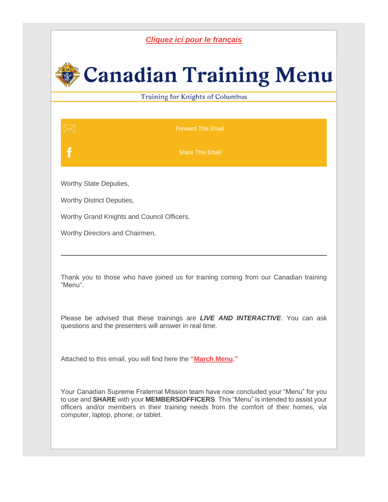## *[Cliquez ici pour le français](https://r20.rs6.net/tn.jsp?f=001ckDgztqu37jZhPJJHt6VOK07WvOkPV0hSHpoGBiv60tElWSXoLOkPm6N9Lit8Y1p-VNECAba401bsALcY-ClUPOBOJrjXf8kWJMGIl7BHFIyQo2agWiKyTnfIVfMzyDhthoovJ3FQ9d8-lo3UXj5fA==&c=HEme9Jcqc7QpY5wNVYTY9AkXXQAlDymNDtEdUVQqGM_Jyvrw_eAYSQ==&ch=22zfN3hhDHS6cLGB3X-A74vkQUDaPHOQDiLIW-7WvKJch-NszxaJCA==)*

## **Canadian Training Menu**

Training for Knights of Columbus

[Forward This Email](mailto:?subject=TRAINING%3A%20Canadian%20Training%20Menu%20for%20March&body=https://conta.cc/3Hfsiiv)

[Share This Email](https://r20.rs6.net/tn.jsp?f=001ckDgztqu37jZhPJJHt6VOK07WvOkPV0hSHpoGBiv60tElWSXoLOkPm6N9Lit8Y1pCzMZT_R56E6g5k-2DhN3rBv8j8n3xNx9d9OfJRADsxloBkXVJw-iXgCjc_mJ2XIPIIniEyQKBUJiKFQDUCrUk6lVlk_tpk4CTmIZjoXZom8tGjdZ0vfmYWQjBQtDWWoplRpYkRbTWDe3qyxX7hKeYbzQpA0ix7pM&c=HEme9Jcqc7QpY5wNVYTY9AkXXQAlDymNDtEdUVQqGM_Jyvrw_eAYSQ==&ch=22zfN3hhDHS6cLGB3X-A74vkQUDaPHOQDiLIW-7WvKJch-NszxaJCA==)

Worthy State Deputies,

Worthy District Deputies,

Worthy Grand Knights and Council Officers,

Worthy Directors and Chairmen,

Thank you to those who have joined us for training coming from our Canadian training "Menu".

Please be advised that these trainings are *LIVE AND INTERACTIVE*. You can ask questions and the presenters will answer in real time.

Attached to this email, you will find here the **["March Menu.](https://r20.rs6.net/tn.jsp?f=001ckDgztqu37jZhPJJHt6VOK07WvOkPV0hSHpoGBiv60tElWSXoLOkPm6N9Lit8Y1pieDRXWlFPM194oIRNvthUKVEDaq2BgHndhO5DYvoF6zJsKjpytqlDr03GlcOxTefd613tqx2VoaHfJSLqUFoRK8VTpmjvg3u4SYP-v9FMxQNLVWZuCtpBqkv3Bh25XIEsmn1JuAkBfN4s6IMbDkbVNh-ArMkjVo7_2DbA-aYdSw=&c=HEme9Jcqc7QpY5wNVYTY9AkXXQAlDymNDtEdUVQqGM_Jyvrw_eAYSQ==&ch=22zfN3hhDHS6cLGB3X-A74vkQUDaPHOQDiLIW-7WvKJch-NszxaJCA==)"** 

Your Canadian Supreme Fraternal Mission team have now concluded your "Menu" for you to use and **SHARE** with your **MEMBERS/OFFICERS**. This "Menu" is intended to assist your officers and/or members in their training needs from the comfort of their homes, via computer, laptop, phone, or tablet.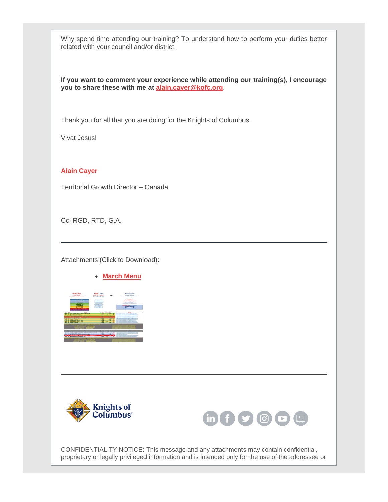Why spend time attending our training? To understand how to perform your duties better related with your council and/or district.

**If you want to comment your experience while attending our training(s), I encourage you to share these with me at [alain.cayer@kofc.org](mailto:alain.cayer@kofc.org)**.

Thank you for all that you are doing for the Knights of Columbus.

Vivat Jesus!

**Alain Cayer**

Territorial Growth Director – Canada

Cc: RGD, RTD, G.A.

Attachments (Click to Download):

• **[March Menu](https://r20.rs6.net/tn.jsp?f=001ckDgztqu37jZhPJJHt6VOK07WvOkPV0hSHpoGBiv60tElWSXoLOkPm6N9Lit8Y1pieDRXWlFPM194oIRNvthUKVEDaq2BgHndhO5DYvoF6zJsKjpytqlDr03GlcOxTefd613tqx2VoaHfJSLqUFoRK8VTpmjvg3u4SYP-v9FMxQNLVWZuCtpBqkv3Bh25XIEsmn1JuAkBfN4s6IMbDkbVNh-ArMkjVo7_2DbA-aYdSw=&c=HEme9Jcqc7QpY5wNVYTY9AkXXQAlDymNDtEdUVQqGM_Jyvrw_eAYSQ==&ch=22zfN3hhDHS6cLGB3X-A74vkQUDaPHOQDiLIW-7WvKJch-NszxaJCA==)**







CONFIDENTIALITY NOTICE: This message and any attachments may contain confidential, proprietary or legally privileged information and is intended only for the use of the addressee or